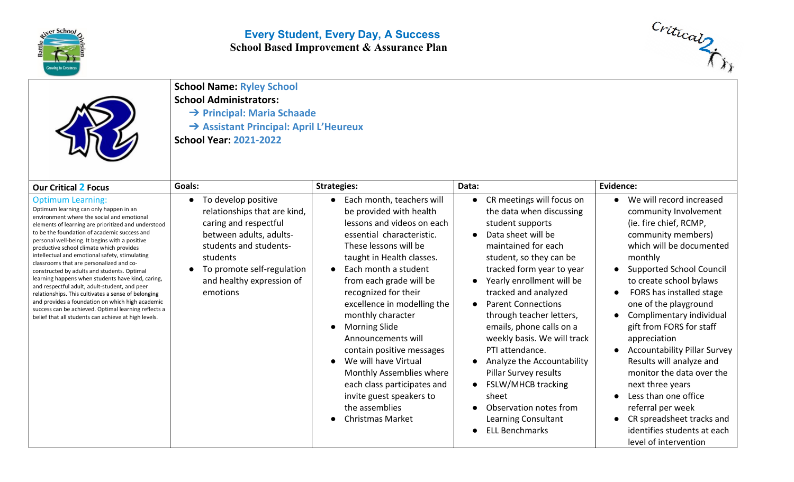

## **Every Student, Every Day, A Success School Based Improvement & Assurance Plan**



**School Name: Ryley School**

**School Administrators:**

- ➔ **Principal: Maria Schaade**
- ➔ **Assistant Principal: April L'Heureux**

**School Year: 2021-2022**

| <b>Our Critical 2 Focus</b>                                                                                                                                                                                                                                                                                                                                                                                                                                                                                                                                                                                                                                                                                                                                                                         | Goals:                                                                                                                                                                                                                            | <b>Strategies:</b>                                                                                                                                                                                                                                                                                                                                                                                                                                                                                                                          | Data:                                                                                                                                                                                                                                                                                                                                                                                                                                                                                                                                             | Evidence:                                                                                                                                                                                                                                                                                                                                                                                                                                                                                                                                                                                 |
|-----------------------------------------------------------------------------------------------------------------------------------------------------------------------------------------------------------------------------------------------------------------------------------------------------------------------------------------------------------------------------------------------------------------------------------------------------------------------------------------------------------------------------------------------------------------------------------------------------------------------------------------------------------------------------------------------------------------------------------------------------------------------------------------------------|-----------------------------------------------------------------------------------------------------------------------------------------------------------------------------------------------------------------------------------|---------------------------------------------------------------------------------------------------------------------------------------------------------------------------------------------------------------------------------------------------------------------------------------------------------------------------------------------------------------------------------------------------------------------------------------------------------------------------------------------------------------------------------------------|---------------------------------------------------------------------------------------------------------------------------------------------------------------------------------------------------------------------------------------------------------------------------------------------------------------------------------------------------------------------------------------------------------------------------------------------------------------------------------------------------------------------------------------------------|-------------------------------------------------------------------------------------------------------------------------------------------------------------------------------------------------------------------------------------------------------------------------------------------------------------------------------------------------------------------------------------------------------------------------------------------------------------------------------------------------------------------------------------------------------------------------------------------|
| <b>Optimum Learning:</b><br>Optimum learning can only happen in an<br>environment where the social and emotional<br>elements of learning are prioritized and understood<br>to be the foundation of academic success and<br>personal well-being. It begins with a positive<br>productive school climate which provides<br>intellectual and emotional safety, stimulating<br>classrooms that are personalized and co-<br>constructed by adults and students. Optimal<br>learning happens when students have kind, caring,<br>and respectful adult, adult-student, and peer<br>relationships. This cultivates a sense of belonging<br>and provides a foundation on which high academic<br>success can be achieved. Optimal learning reflects a<br>belief that all students can achieve at high levels. | To develop positive<br>$\bullet$<br>relationships that are kind,<br>caring and respectful<br>between adults, adults-<br>students and students-<br>students<br>To promote self-regulation<br>and healthy expression of<br>emotions | Each month, teachers will<br>be provided with health<br>lessons and videos on each<br>essential characteristic.<br>These lessons will be<br>taught in Health classes.<br>Each month a student<br>from each grade will be<br>recognized for their<br>excellence in modelling the<br>monthly character<br><b>Morning Slide</b><br>Announcements will<br>contain positive messages<br>We will have Virtual<br>Monthly Assemblies where<br>each class participates and<br>invite guest speakers to<br>the assemblies<br><b>Christmas Market</b> | CR meetings will focus on<br>the data when discussing<br>student supports<br>Data sheet will be<br>maintained for each<br>student, so they can be<br>tracked form year to year<br>Yearly enrollment will be<br>tracked and analyzed<br><b>Parent Connections</b><br>through teacher letters,<br>emails, phone calls on a<br>weekly basis. We will track<br>PTI attendance.<br>Analyze the Accountability<br>Pillar Survey results<br><b>FSLW/MHCB tracking</b><br>sheet<br>Observation notes from<br>Learning Consultant<br><b>ELL Benchmarks</b> | We will record increased<br>community Involvement<br>(ie. fire chief, RCMP,<br>community members)<br>which will be documented<br>monthly<br><b>Supported School Council</b><br>to create school bylaws<br>FORS has installed stage<br>one of the playground<br>Complimentary individual<br>gift from FORS for staff<br>appreciation<br><b>Accountability Pillar Survey</b><br>Results will analyze and<br>monitor the data over the<br>next three years<br>Less than one office<br>referral per week<br>CR spreadsheet tracks and<br>identifies students at each<br>level of intervention |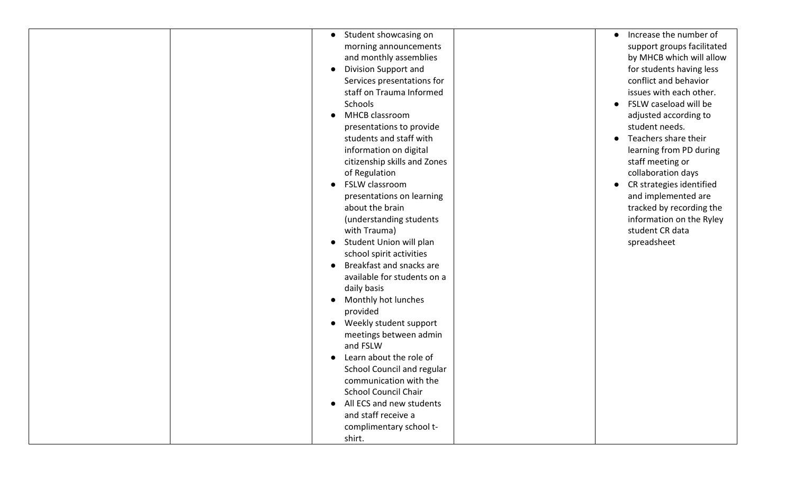| Student showcasing on<br>$\bullet$       | Increase the number of<br>$\bullet$   |
|------------------------------------------|---------------------------------------|
| morning announcements                    | support groups facilitated            |
| and monthly assemblies                   | by MHCB which will allow              |
| <b>Division Support and</b><br>$\bullet$ | for students having less              |
| Services presentations for               | conflict and behavior                 |
| staff on Trauma Informed                 | issues with each other.               |
| <b>Schools</b>                           | FSLW caseload will be<br>$\bullet$    |
| MHCB classroom                           | adjusted according to                 |
| presentations to provide                 | student needs.                        |
| students and staff with                  | Teachers share their                  |
| information on digital                   | learning from PD during               |
| citizenship skills and Zones             | staff meeting or                      |
| of Regulation                            | collaboration days                    |
| FSLW classroom                           | CR strategies identified<br>$\bullet$ |
| presentations on learning                | and implemented are                   |
| about the brain                          | tracked by recording the              |
| (understanding students                  | information on the Ryley              |
| with Trauma)                             | student CR data                       |
| Student Union will plan                  | spreadsheet                           |
| school spirit activities                 |                                       |
| Breakfast and snacks are                 |                                       |
| available for students on a              |                                       |
| daily basis                              |                                       |
| Monthly hot lunches                      |                                       |
| provided                                 |                                       |
| Weekly student support                   |                                       |
| meetings between admin                   |                                       |
| and FSLW                                 |                                       |
| Learn about the role of                  |                                       |
| School Council and regular               |                                       |
| communication with the                   |                                       |
| <b>School Council Chair</b>              |                                       |
| All ECS and new students                 |                                       |
| and staff receive a                      |                                       |
|                                          |                                       |
| complimentary school t-                  |                                       |
| shirt.                                   |                                       |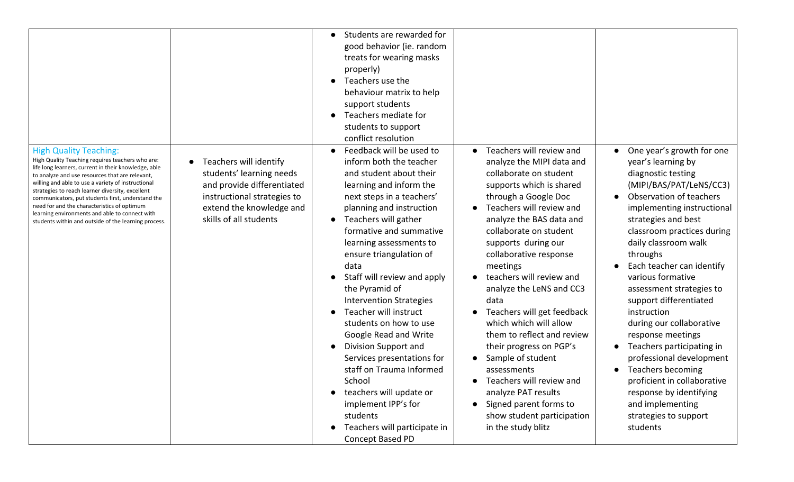|                                                                                                                                                                                                                                                                                                                                                                                                                                                                                                                      |                                                                                                                                                                                    | Students are rewarded for<br>$\bullet$<br>good behavior (ie. random<br>treats for wearing masks<br>properly)<br>Teachers use the<br>behaviour matrix to help<br>support students<br>Teachers mediate for<br>students to support<br>conflict resolution                                                                                                                                                                                                                                                                                                                                                                                                                        |                                                                                                                                                                                                                                                                                                                                                                                                                                                                                                                                                                                                                                          |                                                                                                                                                                                                                                                                                                                                                                                                                                                                                                                                                                                                                             |
|----------------------------------------------------------------------------------------------------------------------------------------------------------------------------------------------------------------------------------------------------------------------------------------------------------------------------------------------------------------------------------------------------------------------------------------------------------------------------------------------------------------------|------------------------------------------------------------------------------------------------------------------------------------------------------------------------------------|-------------------------------------------------------------------------------------------------------------------------------------------------------------------------------------------------------------------------------------------------------------------------------------------------------------------------------------------------------------------------------------------------------------------------------------------------------------------------------------------------------------------------------------------------------------------------------------------------------------------------------------------------------------------------------|------------------------------------------------------------------------------------------------------------------------------------------------------------------------------------------------------------------------------------------------------------------------------------------------------------------------------------------------------------------------------------------------------------------------------------------------------------------------------------------------------------------------------------------------------------------------------------------------------------------------------------------|-----------------------------------------------------------------------------------------------------------------------------------------------------------------------------------------------------------------------------------------------------------------------------------------------------------------------------------------------------------------------------------------------------------------------------------------------------------------------------------------------------------------------------------------------------------------------------------------------------------------------------|
| <b>High Quality Teaching:</b><br>High Quality Teaching requires teachers who are:<br>life long learners, current in their knowledge, able<br>to analyze and use resources that are relevant,<br>willing and able to use a variety of instructional<br>strategies to reach learner diversity, excellent<br>communicators, put students first, understand the<br>need for and the characteristics of optimum<br>learning environments and able to connect with<br>students within and outside of the learning process. | Teachers will identify<br>$\bullet$<br>students' learning needs<br>and provide differentiated<br>instructional strategies to<br>extend the knowledge and<br>skills of all students | Feedback will be used to<br>inform both the teacher<br>and student about their<br>learning and inform the<br>next steps in a teachers'<br>planning and instruction<br>Teachers will gather<br>$\bullet$<br>formative and summative<br>learning assessments to<br>ensure triangulation of<br>data<br>Staff will review and apply<br>the Pyramid of<br><b>Intervention Strategies</b><br>Teacher will instruct<br>students on how to use<br>Google Read and Write<br>Division Support and<br>Services presentations for<br>staff on Trauma Informed<br>School<br>teachers will update or<br>implement IPP's for<br>students<br>Teachers will participate in<br>Concept Based PD | Teachers will review and<br>analyze the MIPI data and<br>collaborate on student<br>supports which is shared<br>through a Google Doc<br>Teachers will review and<br>analyze the BAS data and<br>collaborate on student<br>supports during our<br>collaborative response<br>meetings<br>teachers will review and<br>analyze the LeNS and CC3<br>data<br>Teachers will get feedback<br>which which will allow<br>them to reflect and review<br>their progress on PGP's<br>Sample of student<br>assessments<br>Teachers will review and<br>analyze PAT results<br>Signed parent forms to<br>show student participation<br>in the study blitz | One year's growth for one<br>year's learning by<br>diagnostic testing<br>(MIPI/BAS/PAT/LeNS/CC3)<br>Observation of teachers<br>implementing instructional<br>strategies and best<br>classroom practices during<br>daily classroom walk<br>throughs<br>Each teacher can identify<br>various formative<br>assessment strategies to<br>support differentiated<br>instruction<br>during our collaborative<br>response meetings<br>Teachers participating in<br>professional development<br>Teachers becoming<br>proficient in collaborative<br>response by identifying<br>and implementing<br>strategies to support<br>students |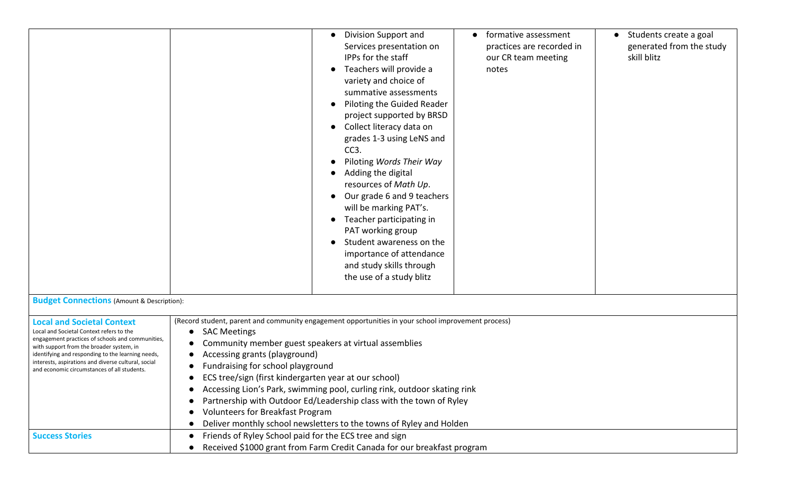|                                                                                                                                                                                                                                                                                                                                          | Division Support and<br>formative assessment<br>• Students create a goal<br>practices are recorded in<br>generated from the study<br>Services presentation on<br>IPPs for the staff<br>skill blitz<br>our CR team meeting<br>Teachers will provide a<br>notes<br>variety and choice of<br>summative assessments<br>Piloting the Guided Reader<br>project supported by BRSD<br>Collect literacy data on<br>grades 1-3 using LeNS and<br>CC <sub>3</sub> .<br>Piloting Words Their Way<br>Adding the digital<br>resources of Math Up.<br>Our grade 6 and 9 teachers<br>will be marking PAT's.<br>Teacher participating in<br>PAT working group<br>Student awareness on the<br>importance of attendance<br>and study skills through<br>the use of a study blitz |
|------------------------------------------------------------------------------------------------------------------------------------------------------------------------------------------------------------------------------------------------------------------------------------------------------------------------------------------|--------------------------------------------------------------------------------------------------------------------------------------------------------------------------------------------------------------------------------------------------------------------------------------------------------------------------------------------------------------------------------------------------------------------------------------------------------------------------------------------------------------------------------------------------------------------------------------------------------------------------------------------------------------------------------------------------------------------------------------------------------------|
| <b>Budget Connections</b> (Amount & Description):                                                                                                                                                                                                                                                                                        |                                                                                                                                                                                                                                                                                                                                                                                                                                                                                                                                                                                                                                                                                                                                                              |
| <b>Local and Societal Context</b><br>Local and Societal Context refers to the<br>engagement practices of schools and communities,<br>with support from the broader system, in<br>identifying and responding to the learning needs,<br>interests, aspirations and diverse cultural, social<br>and economic circumstances of all students. | (Record student, parent and community engagement opportunities in your school improvement process)<br><b>SAC Meetings</b><br>$\bullet$<br>Community member guest speakers at virtual assemblies<br>Accessing grants (playground)<br>Fundraising for school playground<br>ECS tree/sign (first kindergarten year at our school)<br>Accessing Lion's Park, swimming pool, curling rink, outdoor skating rink<br>Partnership with Outdoor Ed/Leadership class with the town of Ryley<br>$\bullet$<br><b>Volunteers for Breakfast Program</b><br>Deliver monthly school newsletters to the towns of Ryley and Holden                                                                                                                                             |
| <b>Success Stories</b>                                                                                                                                                                                                                                                                                                                   | Friends of Ryley School paid for the ECS tree and sign<br>$\bullet$<br>Received \$1000 grant from Farm Credit Canada for our breakfast program                                                                                                                                                                                                                                                                                                                                                                                                                                                                                                                                                                                                               |